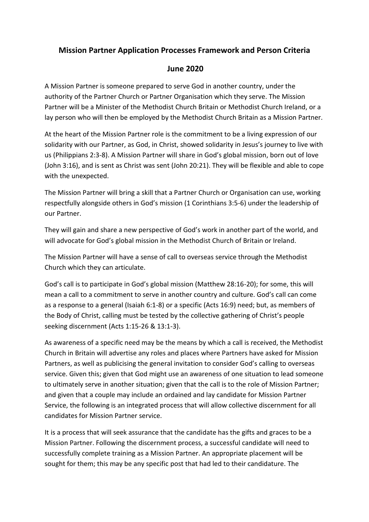# **Mission Partner Application Processes Framework and Person Criteria**

# **June 2020**

A Mission Partner is someone prepared to serve God in another country, under the authority of the Partner Church or Partner Organisation which they serve. The Mission Partner will be a Minister of the Methodist Church Britain or Methodist Church Ireland, or a lay person who will then be employed by the Methodist Church Britain as a Mission Partner.

At the heart of the Mission Partner role is the commitment to be a living expression of our solidarity with our Partner, as God, in Christ, showed solidarity in Jesus's journey to live with us (Philippians 2:3-8). A Mission Partner will share in God's global mission, born out of love (John 3:16), and is sent as Christ was sent (John 20:21). They will be flexible and able to cope with the unexpected.

The Mission Partner will bring a skill that a Partner Church or Organisation can use, working respectfully alongside others in God's mission (1 Corinthians 3:5-6) under the leadership of our Partner.

They will gain and share a new perspective of God's work in another part of the world, and will advocate for God's global mission in the Methodist Church of Britain or Ireland.

The Mission Partner will have a sense of call to overseas service through the Methodist Church which they can articulate.

God's call is to participate in God's global mission (Matthew 28:16-20); for some, this will mean a call to a commitment to serve in another country and culture. God's call can come as a response to a general (Isaiah 6:1-8) or a specific (Acts 16:9) need; but, as members of the Body of Christ, calling must be tested by the collective gathering of Christ's people seeking discernment (Acts 1:15-26 & 13:1-3).

As awareness of a specific need may be the means by which a call is received, the Methodist Church in Britain will advertise any roles and places where Partners have asked for Mission Partners, as well as publicising the general invitation to consider God's calling to overseas service. Given this; given that God might use an awareness of one situation to lead someone to ultimately serve in another situation; given that the call is to the role of Mission Partner; and given that a couple may include an ordained and lay candidate for Mission Partner Service, the following is an integrated process that will allow collective discernment for all candidates for Mission Partner service.

It is a process that will seek assurance that the candidate has the gifts and graces to be a Mission Partner. Following the discernment process, a successful candidate will need to successfully complete training as a Mission Partner. An appropriate placement will be sought for them; this may be any specific post that had led to their candidature. The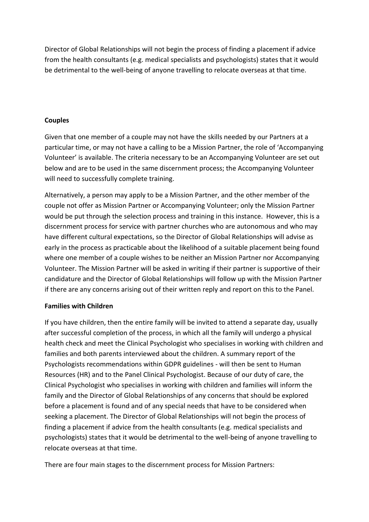Director of Global Relationships will not begin the process of finding a placement if advice from the health consultants (e.g. medical specialists and psychologists) states that it would be detrimental to the well-being of anyone travelling to relocate overseas at that time.

## **Couples**

Given that one member of a couple may not have the skills needed by our Partners at a particular time, or may not have a calling to be a Mission Partner, the role of 'Accompanying Volunteer' is available. The criteria necessary to be an Accompanying Volunteer are set out below and are to be used in the same discernment process; the Accompanying Volunteer will need to successfully complete training.

Alternatively, a person may apply to be a Mission Partner, and the other member of the couple not offer as Mission Partner or Accompanying Volunteer; only the Mission Partner would be put through the selection process and training in this instance. However, this is a discernment process for service with partner churches who are autonomous and who may have different cultural expectations, so the Director of Global Relationships will advise as early in the process as practicable about the likelihood of a suitable placement being found where one member of a couple wishes to be neither an Mission Partner nor Accompanying Volunteer. The Mission Partner will be asked in writing if their partner is supportive of their candidature and the Director of Global Relationships will follow up with the Mission Partner if there are any concerns arising out of their written reply and report on this to the Panel.

### **Families with Children**

If you have children, then the entire family will be invited to attend a separate day, usually after successful completion of the process, in which all the family will undergo a physical health check and meet the Clinical Psychologist who specialises in working with children and families and both parents interviewed about the children. A summary report of the Psychologists recommendations within GDPR guidelines - will then be sent to Human Resources (HR) and to the Panel Clinical Psychologist. Because of our duty of care, the Clinical Psychologist who specialises in working with children and families will inform the family and the Director of Global Relationships of any concerns that should be explored before a placement is found and of any special needs that have to be considered when seeking a placement. The Director of Global Relationships will not begin the process of finding a placement if advice from the health consultants (e.g. medical specialists and psychologists) states that it would be detrimental to the well-being of anyone travelling to relocate overseas at that time.

There are four main stages to the discernment process for Mission Partners: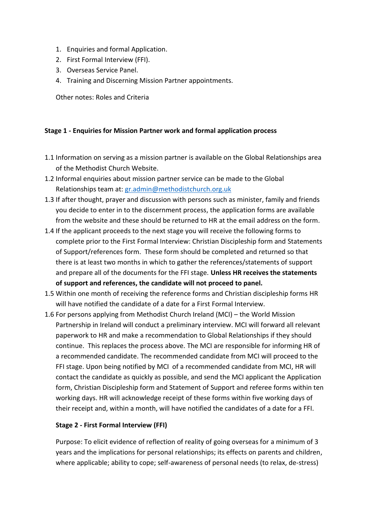- 1. Enquiries and formal Application.
- 2. First Formal Interview (FFI).
- 3. Overseas Service Panel.
- 4. Training and Discerning Mission Partner appointments.

Other notes: Roles and Criteria

### **Stage 1 - Enquiries for Mission Partner work and formal application process**

- 1.1 Information on serving as a mission partner is available on the Global Relationships area of the Methodist Church Website.
- 1.2 Informal enquiries about mission partner service can be made to the Global Relationships team at: [gr.admin@methodistchurch.org.uk](mailto:gr.admin@methodistchurch.org.uk)
- 1.3 If after thought, prayer and discussion with persons such as minister, family and friends you decide to enter in to the discernment process, the application forms are available from the website and these should be returned to HR at the email address on the form.
- 1.4 If the applicant proceeds to the next stage you will receive the following forms to complete prior to the First Formal Interview: Christian Discipleship form and Statements of Support/references form. These form should be completed and returned so that there is at least two months in which to gather the references/statements of support and prepare all of the documents for the FFI stage. **Unless HR receives the statements of support and references, the candidate will not proceed to panel.**
- 1.5 Within one month of receiving the reference forms and Christian discipleship forms HR will have notified the candidate of a date for a First Formal Interview.
- 1.6 For persons applying from Methodist Church Ireland (MCI) the World Mission Partnership in Ireland will conduct a preliminary interview. MCI will forward all relevant paperwork to HR and make a recommendation to Global Relationships if they should continue. This replaces the process above. The MCI are responsible for informing HR of a recommended candidate. The recommended candidate from MCI will proceed to the FFI stage. Upon being notified by MCI of a recommended candidate from MCI, HR will contact the candidate as quickly as possible, and send the MCI applicant the Application form, Christian Discipleship form and Statement of Support and referee forms within ten working days. HR will acknowledge receipt of these forms within five working days of their receipt and, within a month, will have notified the candidates of a date for a FFI.

### **Stage 2 - First Formal Interview (FFI)**

Purpose: To elicit evidence of reflection of reality of going overseas for a minimum of 3 years and the implications for personal relationships; its effects on parents and children, where applicable; ability to cope; self-awareness of personal needs (to relax, de-stress)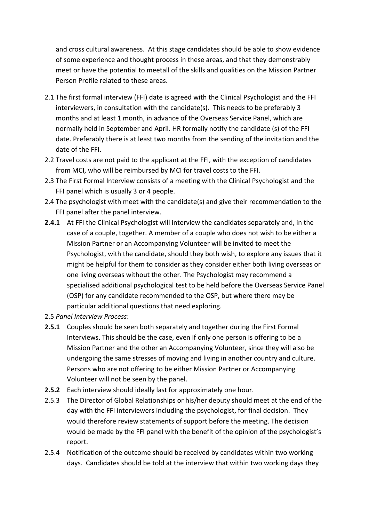and cross cultural awareness. At this stage candidates should be able to show evidence of some experience and thought process in these areas, and that they demonstrably meet or have the potential to meetall of the skills and qualities on the Mission Partner Person Profile related to these areas.

- 2.1 The first formal interview (FFI) date is agreed with the Clinical Psychologist and the FFI interviewers, in consultation with the candidate(s). This needs to be preferably 3 months and at least 1 month, in advance of the Overseas Service Panel, which are normally held in September and April. HR formally notify the candidate (s) of the FFI date. Preferably there is at least two months from the sending of the invitation and the date of the FFI.
- 2.2 Travel costs are not paid to the applicant at the FFI, with the exception of candidates from MCI, who will be reimbursed by MCI for travel costs to the FFI.
- 2.3 The First Formal Interview consists of a meeting with the Clinical Psychologist and the FFI panel which is usually 3 or 4 people.
- 2.4 The psychologist with meet with the candidate(s) and give their recommendation to the FFI panel after the panel interview.
- **2.4.1** At FFI the Clinical Psychologist will interview the candidates separately and, in the case of a couple, together. A member of a couple who does not wish to be either a Mission Partner or an Accompanying Volunteer will be invited to meet the Psychologist, with the candidate, should they both wish, to explore any issues that it might be helpful for them to consider as they consider either both living overseas or one living overseas without the other. The Psychologist may recommend a specialised additional psychological test to be held before the Overseas Service Panel (OSP) for any candidate recommended to the OSP, but where there may be particular additional questions that need exploring.
- 2.5 *Panel Interview Process*:
- **2.5.1** Couples should be seen both separately and together during the First Formal Interviews. This should be the case, even if only one person is offering to be a Mission Partner and the other an Accompanying Volunteer, since they will also be undergoing the same stresses of moving and living in another country and culture. Persons who are not offering to be either Mission Partner or Accompanying Volunteer will not be seen by the panel.
- **2.5.2** Each interview should ideally last for approximately one hour.
- 2.5.3 The Director of Global Relationships or his/her deputy should meet at the end of the day with the FFI interviewers including the psychologist, for final decision. They would therefore review statements of support before the meeting. The decision would be made by the FFI panel with the benefit of the opinion of the psychologist's report.
- 2.5.4 Notification of the outcome should be received by candidates within two working days. Candidates should be told at the interview that within two working days they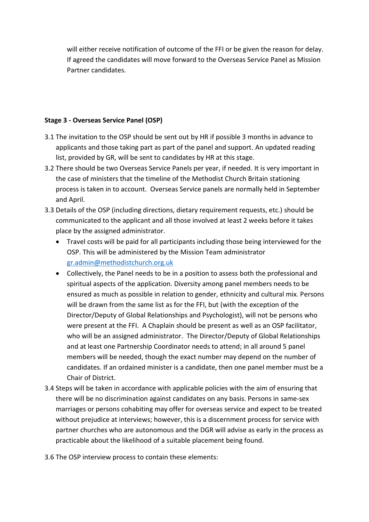will either receive notification of outcome of the FFI or be given the reason for delay. If agreed the candidates will move forward to the Overseas Service Panel as Mission Partner candidates.

# **Stage 3 - Overseas Service Panel (OSP)**

- 3.1 The invitation to the OSP should be sent out by HR if possible 3 months in advance to applicants and those taking part as part of the panel and support. An updated reading list, provided by GR, will be sent to candidates by HR at this stage.
- 3.2 There should be two Overseas Service Panels per year, if needed. It is very important in the case of ministers that the timeline of the Methodist Church Britain stationing process is taken in to account. Overseas Service panels are normally held in September and April.
- 3.3 Details of the OSP (including directions, dietary requirement requests, etc.) should be communicated to the applicant and all those involved at least 2 weeks before it takes place by the assigned administrator.
	- Travel costs will be paid for all participants including those being interviewed for the OSP. This will be administered by the Mission Team administrator [gr.admin@methodistchurch.org.uk](mailto:gr.admin@methodistchurch.org.uk)
	- Collectively, the Panel needs to be in a position to assess both the professional and spiritual aspects of the application. Diversity among panel members needs to be ensured as much as possible in relation to gender, ethnicity and cultural mix. Persons will be drawn from the same list as for the FFI, but (with the exception of the Director/Deputy of Global Relationships and Psychologist), will not be persons who were present at the FFI. A Chaplain should be present as well as an OSP facilitator, who will be an assigned administrator. The Director/Deputy of Global Relationships and at least one Partnership Coordinator needs to attend; in all around 5 panel members will be needed, though the exact number may depend on the number of candidates. If an ordained minister is a candidate, then one panel member must be a Chair of District.
- 3.4 Steps will be taken in accordance with applicable policies with the aim of ensuring that there will be no discrimination against candidates on any basis. Persons in same-sex marriages or persons cohabiting may offer for overseas service and expect to be treated without prejudice at interviews; however, this is a discernment process for service with partner churches who are autonomous and the DGR will advise as early in the process as practicable about the likelihood of a suitable placement being found.
- 3.6 The OSP interview process to contain these elements: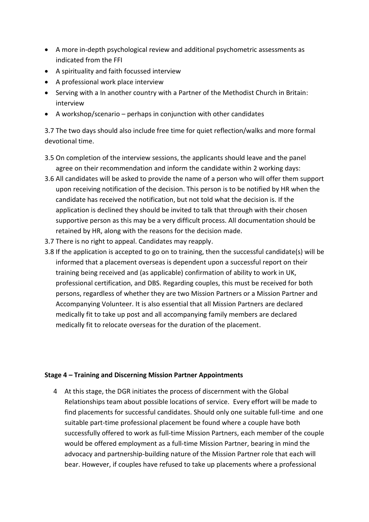- A more in-depth psychological review and additional psychometric assessments as indicated from the FFI
- A spirituality and faith focussed interview
- A professional work place interview
- Serving with a In another country with a Partner of the Methodist Church in Britain: interview
- A workshop/scenario perhaps in conjunction with other candidates

3.7 The two days should also include free time for quiet reflection/walks and more formal devotional time.

- 3.5 On completion of the interview sessions, the applicants should leave and the panel agree on their recommendation and inform the candidate within 2 working days:
- 3.6 All candidates will be asked to provide the name of a person who will offer them support upon receiving notification of the decision. This person is to be notified by HR when the candidate has received the notification, but not told what the decision is. If the application is declined they should be invited to talk that through with their chosen supportive person as this may be a very difficult process. All documentation should be retained by HR, along with the reasons for the decision made.
- 3.7 There is no right to appeal. Candidates may reapply.
- 3.8 If the application is accepted to go on to training, then the successful candidate(s) will be informed that a placement overseas is dependent upon a successful report on their training being received and (as applicable) confirmation of ability to work in UK, professional certification, and DBS. Regarding couples, this must be received for both persons, regardless of whether they are two Mission Partners or a Mission Partner and Accompanying Volunteer. It is also essential that all Mission Partners are declared medically fit to take up post and all accompanying family members are declared medically fit to relocate overseas for the duration of the placement.

#### **Stage 4 – Training and Discerning Mission Partner Appointments**

4 At this stage, the DGR initiates the process of discernment with the Global Relationships team about possible locations of service. Every effort will be made to find placements for successful candidates. Should only one suitable full-time and one suitable part-time professional placement be found where a couple have both successfully offered to work as full-time Mission Partners, each member of the couple would be offered employment as a full-time Mission Partner, bearing in mind the advocacy and partnership-building nature of the Mission Partner role that each will bear. However, if couples have refused to take up placements where a professional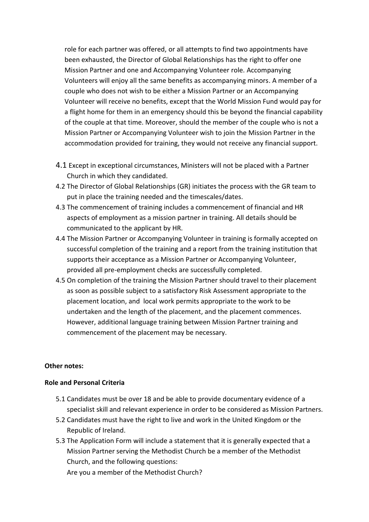role for each partner was offered, or all attempts to find two appointments have been exhausted, the Director of Global Relationships has the right to offer one Mission Partner and one and Accompanying Volunteer role. Accompanying Volunteers will enjoy all the same benefits as accompanying minors. A member of a couple who does not wish to be either a Mission Partner or an Accompanying Volunteer will receive no benefits, except that the World Mission Fund would pay for a flight home for them in an emergency should this be beyond the financial capability of the couple at that time. Moreover, should the member of the couple who is not a Mission Partner or Accompanying Volunteer wish to join the Mission Partner in the accommodation provided for training, they would not receive any financial support.

- 4.1 Except in exceptional circumstances, Ministers will not be placed with a Partner Church in which they candidated.
- 4.2 The Director of Global Relationships (GR) initiates the process with the GR team to put in place the training needed and the timescales/dates.
- 4.3 The commencement of training includes a commencement of financial and HR aspects of employment as a mission partner in training. All details should be communicated to the applicant by HR.
- 4.4 The Mission Partner or Accompanying Volunteer in training is formally accepted on successful completion of the training and a report from the training institution that supports their acceptance as a Mission Partner or Accompanying Volunteer, provided all pre-employment checks are successfully completed.
- 4.5 On completion of the training the Mission Partner should travel to their placement as soon as possible subject to a satisfactory Risk Assessment appropriate to the placement location, and local work permits appropriate to the work to be undertaken and the length of the placement, and the placement commences. However, additional language training between Mission Partner training and commencement of the placement may be necessary.

#### **Other notes:**

#### **Role and Personal Criteria**

- 5.1 Candidates must be over 18 and be able to provide documentary evidence of a specialist skill and relevant experience in order to be considered as Mission Partners.
- 5.2 Candidates must have the right to live and work in the United Kingdom or the Republic of Ireland.
- 5.3 The Application Form will include a statement that it is generally expected that a Mission Partner serving the Methodist Church be a member of the Methodist Church, and the following questions:

Are you a member of the Methodist Church?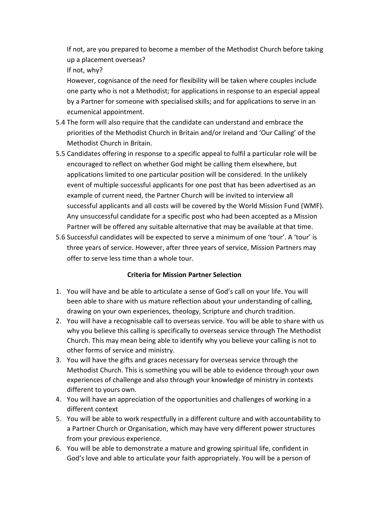If not, are you prepared to become a member of the Methodist Church before taking up a placement overseas?

If not, why?

However, cognisance of the need for flexibility will be taken where couples include one party who is not a Methodist; for applications in response to an especial appeal by a Partner for someone with specialised skills; and for applications to serve in an ecumenical appointment.

- 5.4 The form will also require that the candidate can understand and embrace the priorities of the Methodist Church in Britain and/or Ireland and 'Our Calling' of the Methodist Church in Britain.
- 5.5 Candidates offering in response to a specific appeal to fulfil a particular role will be encouraged to reflect on whether God might be calling them elsewhere, but applications limited to one particular position will be considered. In the unlikely event of multiple successful applicants for one post that has been advertised as an example of current need, the Partner Church will be invited to interview all successful applicants and all costs will be covered by the World Mission Fund (WMF). Any unsuccessful candidate for a specific post who had been accepted as a Mission Partner will be offered any suitable alternative that may be available at that time.
- 5.6 Successful candidates will be expected to serve a minimum of one 'tour'. A 'tour' is three years of service. However, after three years of service, Mission Partners may offer to serve less time than a whole tour.

# **Criteria for Mission Partner Selection**

- 1. You will have and be able to articulate a sense of God's call on your life. You will been able to share with us mature reflection about your understanding of calling, drawing on your own experiences, theology, Scripture and church tradition.
- 2. You will have a recognisable call to overseas service. You will be able to share with us why you believe this calling is specifically to overseas service through The Methodist Church. This may mean being able to identify why you believe your calling is not to other forms of service and ministry.
- 3. You will have the gifts and graces necessary for overseas service through the Methodist Church. This is something you will be able to evidence through your own experiences of challenge and also through your knowledge of ministry in contexts different to yours own.
- 4. You will have an appreciation of the opportunities and challenges of working in a different context
- 5. You will be able to work respectfully in a different culture and with accountability to a Partner Church or Organisation, which may have very different power structures from your previous experience.
- 6. You will be able to demonstrate a mature and growing spiritual life, confident in God's love and able to articulate your faith appropriately. You will be a person of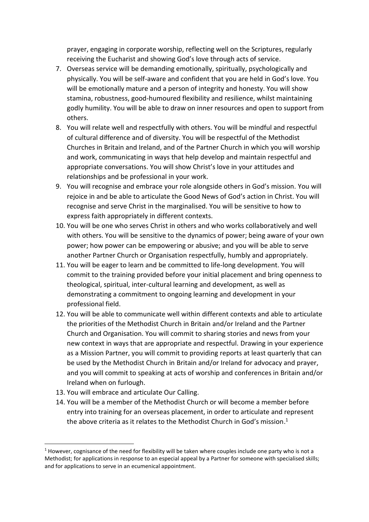prayer, engaging in corporate worship, reflecting well on the Scriptures, regularly receiving the Eucharist and showing God's love through acts of service.

- 7. Overseas service will be demanding emotionally, spiritually, psychologically and physically. You will be self-aware and confident that you are held in God's love. You will be emotionally mature and a person of integrity and honesty. You will show stamina, robustness, good-humoured flexibility and resilience, whilst maintaining godly humility. You will be able to draw on inner resources and open to support from others.
- 8. You will relate well and respectfully with others. You will be mindful and respectful of cultural difference and of diversity. You will be respectful of the Methodist Churches in Britain and Ireland, and of the Partner Church in which you will worship and work, communicating in ways that help develop and maintain respectful and appropriate conversations. You will show Christ's love in your attitudes and relationships and be professional in your work.
- 9. You will recognise and embrace your role alongside others in God's mission. You will rejoice in and be able to articulate the Good News of God's action in Christ. You will recognise and serve Christ in the marginalised. You will be sensitive to how to express faith appropriately in different contexts.
- 10. You will be one who serves Christ in others and who works collaboratively and well with others. You will be sensitive to the dynamics of power; being aware of your own power; how power can be empowering or abusive; and you will be able to serve another Partner Church or Organisation respectfully, humbly and appropriately.
- 11. You will be eager to learn and be committed to life-long development. You will commit to the training provided before your initial placement and bring openness to theological, spiritual, inter-cultural learning and development, as well as demonstrating a commitment to ongoing learning and development in your professional field.
- 12. You will be able to communicate well within different contexts and able to articulate the priorities of the Methodist Church in Britain and/or Ireland and the Partner Church and Organisation. You will commit to sharing stories and news from your new context in ways that are appropriate and respectful. Drawing in your experience as a Mission Partner, you will commit to providing reports at least quarterly that can be used by the Methodist Church in Britain and/or Ireland for advocacy and prayer, and you will commit to speaking at acts of worship and conferences in Britain and/or Ireland when on furlough.
- 13. You will embrace and articulate Our Calling.

1

14. You will be a member of the Methodist Church or will become a member before entry into training for an overseas placement, in order to articulate and represent the above criteria as it relates to the Methodist Church in God's mission.<sup>1</sup>

 $1$  However, cognisance of the need for flexibility will be taken where couples include one party who is not a Methodist; for applications in response to an especial appeal by a Partner for someone with specialised skills; and for applications to serve in an ecumenical appointment.